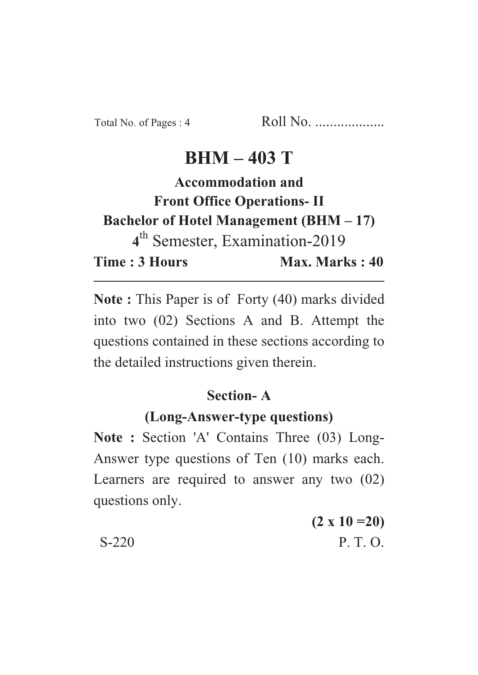# **BHM – 403 T**

**Accommodation and Front Office Operations- II Bachelor of Hotel Management (BHM – 17) 4** th Semester, Examination-2019 **Time : 3 Hours** Max. Marks : 40

**Note :** This Paper is of Forty (40) marks divided into two (02) Sections A and B. Attempt the questions contained in these sections according to the detailed instructions given therein.

## **Section- A**

## **(Long-Answer-type questions)**

**Note :** Section 'A' Contains Three (03) Long-Answer type questions of Ten (10) marks each. Learners are required to answer any two (02) questions only.

|         | $(2 \times 10 = 20)$ |
|---------|----------------------|
| $S-220$ | P. T. O.             |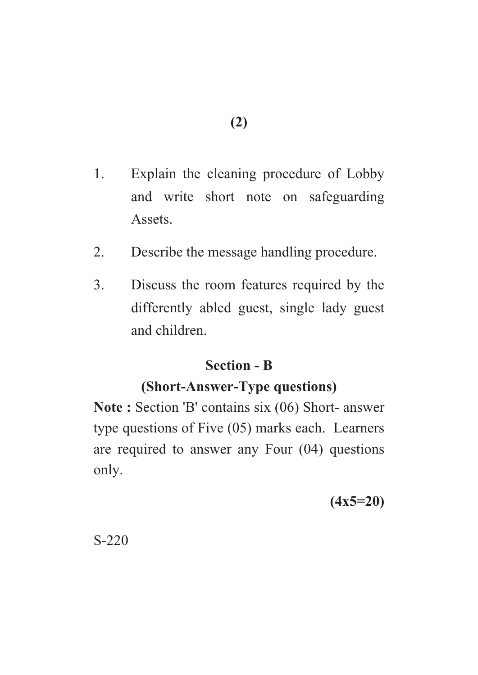- 1. Explain the cleaning procedure of Lobby and write short note on safeguarding Assets.
- 2. Describe the message handling procedure.
- 3. Discuss the room features required by the differently abled guest, single lady guest and children.

## **Section - B**

## **(Short-Answer-Type questions)**

**Note :** Section 'B' contains six (06) Short- answer type questions of Five (05) marks each. Learners are required to answer any Four (04) questions only.

**(4x5=20)**

S-220